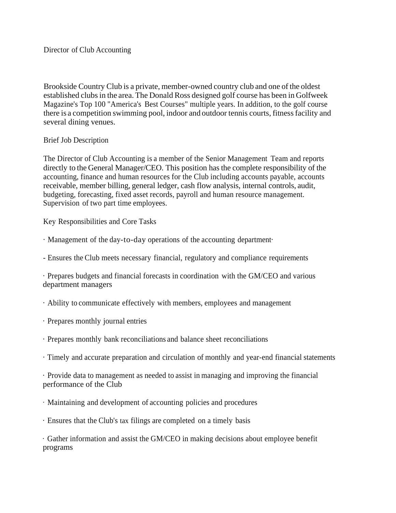Brookside Country Club is a private, member-owned country club and one of the oldest established clubs in the area. The Donald Ross designed golf course has been in Golfweek Magazine's Top 100 "America's Best Courses" multiple years. In addition, to the golf course there is a competition swimming pool, indoor and outdoor tennis courts, fitnessfacility and several dining venues.

## Brief Job Description

The Director of Club Accounting is a member of the Senior Management Team and reports directly to the General Manager/CEO. This position has the complete responsibility of the accounting, finance and human resources for the Club including accounts payable, accounts receivable, member billing, general ledger, cash flow analysis, internal controls, audit, budgeting, forecasting, fixed asset records, payroll and human resource management. Supervision of two part time employees.

Key Responsibilities and Core Tasks

- · Management of the day-to-day operations of the accounting department·
- Ensures the Club meets necessary financial, regulatory and compliance requirements

· Prepares budgets and financial forecasts in coordination with the GM/CEO and various department managers

· Ability to communicate effectively with members, employees and management

- · Prepares monthly journal entries
- · Prepares monthly bank reconciliations and balance sheet reconciliations
- · Timely and accurate preparation and circulation of monthly and year-end financial statements

· Provide data to management as needed to assist in managing and improving the financial performance of the Club

- · Maintaining and development of accounting policies and procedures
- · Ensures that the Club's tax filings are completed on a timely basis

· Gather information and assist the GM/CEO in making decisions about employee benefit programs